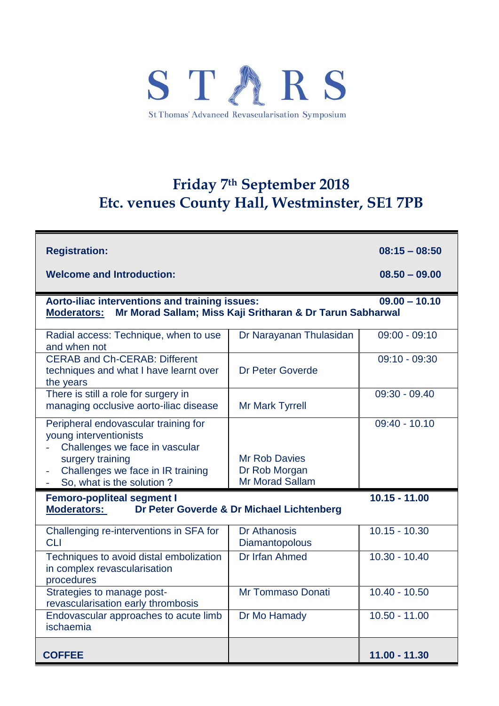

## **Friday 7 th September 2018 Etc. venues County Hall, Westminster, SE1 7PB**

| <b>Registration:</b>                                                                                                                                                                   |                                                                 | $08:15 - 08:50$ |  |  |
|----------------------------------------------------------------------------------------------------------------------------------------------------------------------------------------|-----------------------------------------------------------------|-----------------|--|--|
| <b>Welcome and Introduction:</b>                                                                                                                                                       |                                                                 | $08,50 - 09,00$ |  |  |
| $09.00 - 10.10$<br>Aorto-iliac interventions and training issues:<br>Mr Morad Sallam; Miss Kaji Sritharan & Dr Tarun Sabharwal<br><b>Moderators:</b>                                   |                                                                 |                 |  |  |
| Radial access: Technique, when to use<br>and when not                                                                                                                                  | Dr Narayanan Thulasidan                                         | $09:00 - 09:10$ |  |  |
| <b>CERAB and Ch-CERAB: Different</b><br>techniques and what I have learnt over<br>the years                                                                                            | <b>Dr Peter Goverde</b>                                         | $09:10 - 09:30$ |  |  |
| There is still a role for surgery in<br>managing occlusive aorto-iliac disease                                                                                                         | <b>Mr Mark Tyrrell</b>                                          | $09:30 - 09.40$ |  |  |
| Peripheral endovascular training for<br>young interventionists<br>Challenges we face in vascular<br>surgery training<br>Challenges we face in IR training<br>So, what is the solution? | <b>Mr Rob Davies</b><br>Dr Rob Morgan<br><b>Mr Morad Sallam</b> | $09:40 - 10.10$ |  |  |
| $10.15 - 11.00$<br><b>Femoro-popliteal segment I</b><br><b>Moderators:</b><br>Dr Peter Goverde & Dr Michael Lichtenberg                                                                |                                                                 |                 |  |  |
| Challenging re-interventions in SFA for<br><b>CLI</b>                                                                                                                                  | Dr Athanosis<br>Diamantopolous                                  | $10.15 - 10.30$ |  |  |
| Techniques to avoid distal embolization<br>in complex revascularisation<br>procedures                                                                                                  | Dr Irfan Ahmed                                                  | $10.30 - 10.40$ |  |  |
| Strategies to manage post-<br>revascularisation early thrombosis                                                                                                                       | Mr Tommaso Donati                                               | $10.40 - 10.50$ |  |  |
| Endovascular approaches to acute limb<br>ischaemia                                                                                                                                     | Dr Mo Hamady                                                    | $10.50 - 11.00$ |  |  |
| <b>COFFEE</b>                                                                                                                                                                          |                                                                 | $11.00 - 11.30$ |  |  |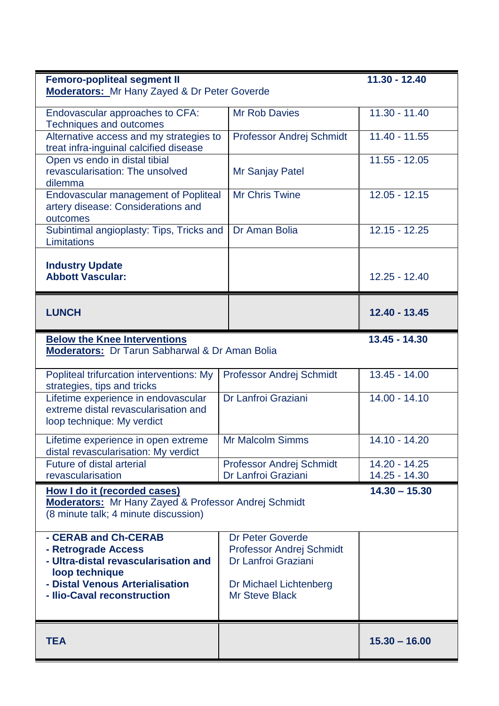| <b>Femoro-popliteal segment II</b>                                                                                                                     |                                                                                                      | $11.30 - 12.40$                |
|--------------------------------------------------------------------------------------------------------------------------------------------------------|------------------------------------------------------------------------------------------------------|--------------------------------|
| <b>Moderators:</b> Mr Hany Zayed & Dr Peter Goverde                                                                                                    |                                                                                                      |                                |
| Endovascular approaches to CFA:<br><b>Techniques and outcomes</b>                                                                                      | <b>Mr Rob Davies</b>                                                                                 | $11.30 - 11.40$                |
| Alternative access and my strategies to<br>treat infra-inguinal calcified disease                                                                      | Professor Andrej Schmidt                                                                             | $11.40 - 11.55$                |
| Open vs endo in distal tibial<br>revascularisation: The unsolved<br>dilemma                                                                            | Mr Sanjay Patel                                                                                      | $11.55 - 12.05$                |
| <b>Endovascular management of Popliteal</b><br>artery disease: Considerations and                                                                      | <b>Mr Chris Twine</b>                                                                                | $12.05 - 12.15$                |
| outcomes<br>Subintimal angioplasty: Tips, Tricks and<br>Limitations                                                                                    | Dr Aman Bolia                                                                                        | $12.15 - 12.25$                |
| <b>Industry Update</b>                                                                                                                                 |                                                                                                      |                                |
| <b>Abbott Vascular:</b>                                                                                                                                |                                                                                                      | $12.25 - 12.40$                |
| <b>LUNCH</b>                                                                                                                                           |                                                                                                      | 12.40 - 13.45                  |
| <b>Below the Knee Interventions</b>                                                                                                                    |                                                                                                      | $13.45 - 14.30$                |
| Moderators: Dr Tarun Sabharwal & Dr Aman Bolia                                                                                                         |                                                                                                      |                                |
| Popliteal trifurcation interventions: My<br>strategies, tips and tricks                                                                                | Professor Andrej Schmidt                                                                             | 13.45 - 14.00                  |
| Lifetime experience in endovascular<br>extreme distal revascularisation and<br>loop technique: My verdict                                              | Dr Lanfroi Graziani                                                                                  | $14.00 - 14.10$                |
| Lifetime experience in open extreme<br>distal revascularisation: My verdict                                                                            | <b>Mr Malcolm Simms</b>                                                                              | 14.10 - 14.20                  |
| <b>Future of distal arterial</b><br>revascularisation                                                                                                  | <b>Professor Andrej Schmidt</b><br>Dr Lanfroi Graziani                                               | 14.20 - 14.25<br>14.25 - 14.30 |
| $14.30 - 15.30$<br>How I do it (recorded cases)<br><b>Moderators:</b> Mr Hany Zayed & Professor Andrej Schmidt<br>(8 minute talk; 4 minute discussion) |                                                                                                      |                                |
| - CERAB and Ch-CERAB<br>- Retrograde Access<br>- Ultra-distal revascularisation and<br>loop technique<br>- Distal Venous Arterialisation               | <b>Dr Peter Goverde</b><br>Professor Andrej Schmidt<br>Dr Lanfroi Graziani<br>Dr Michael Lichtenberg |                                |
| - Ilio-Caval reconstruction                                                                                                                            | <b>Mr Steve Black</b>                                                                                |                                |
| <b>TEA</b>                                                                                                                                             |                                                                                                      | $15.30 - 16.00$                |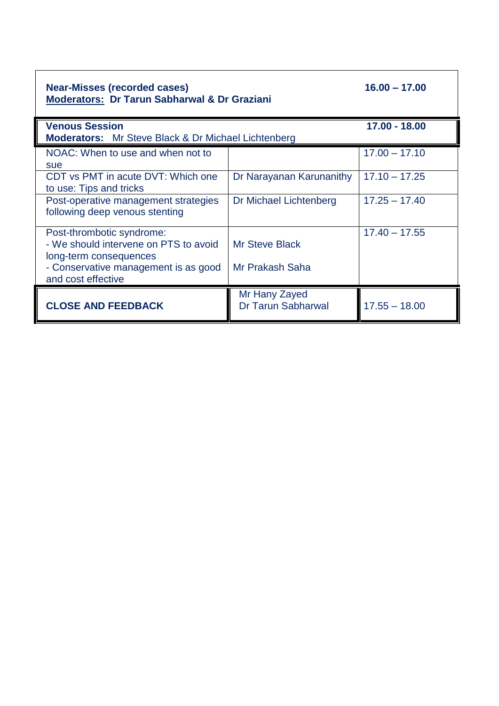| <b>Near-Misses (recorded cases)</b><br><b>Moderators: Dr Tarun Sabharwal &amp; Dr Graziani</b> | $16.00 - 17.00$                            |                 |  |
|------------------------------------------------------------------------------------------------|--------------------------------------------|-----------------|--|
| <b>Venous Session</b>                                                                          |                                            | 17.00 - 18.00   |  |
| <b>Moderators:</b> Mr Steve Black & Dr Michael Lichtenberg                                     |                                            |                 |  |
| NOAC: When to use and when not to<br>sue                                                       |                                            | $17.00 - 17.10$ |  |
| CDT vs PMT in acute DVT: Which one<br>to use: Tips and tricks                                  | Dr Narayanan Karunanithy                   | $17.10 - 17.25$ |  |
| Post-operative management strategies<br>following deep venous stenting                         | Dr Michael Lichtenberg                     | $17.25 - 17.40$ |  |
| Post-thrombotic syndrome:<br>- We should intervene on PTS to avoid<br>long-term consequences   | <b>Mr Steve Black</b>                      | $17.40 - 17.55$ |  |
| - Conservative management is as good<br>and cost effective                                     | Mr Prakash Saha                            |                 |  |
| <b>CLOSE AND FEEDBACK</b>                                                                      | Mr Hany Zayed<br><b>Dr Tarun Sabharwal</b> | $17.55 - 18.00$ |  |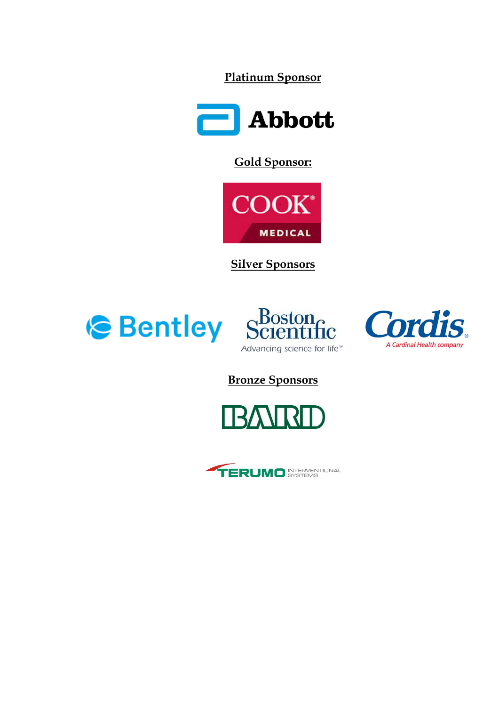**Platinum Sponsor**



**Gold Sponsor:**



**Silver Sponsors**





**Bronze Sponsors**